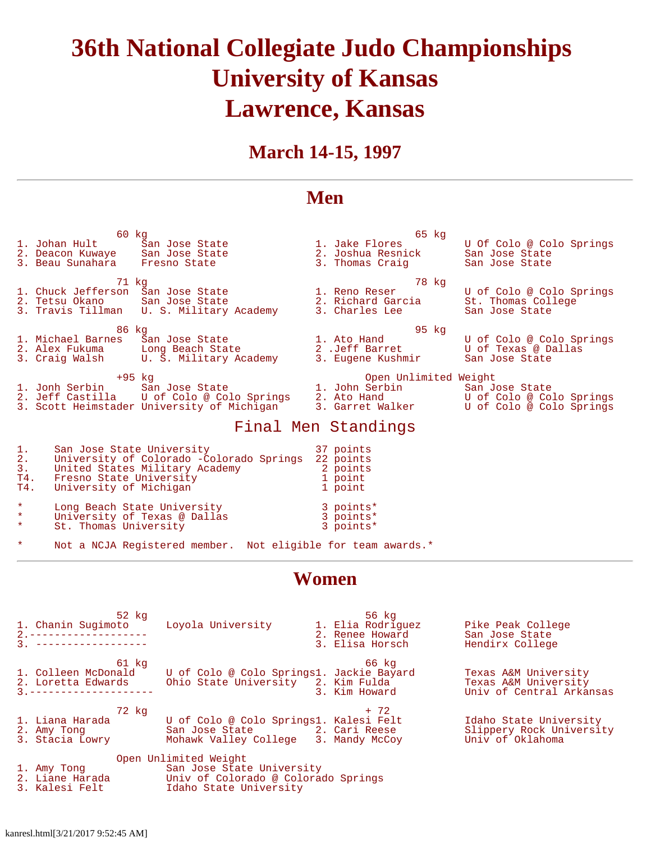# **36th National Collegiate Judo Championships University of Kansas Lawrence, Kansas**

## **March 14-15, 1997**

#### **Men**

 60 kg 65 kg 1. Johan Hult San Jose State 1. Jake Flores U Of Colo @ Colo Springs 2. Deacon Kuwaye San Jose State 2. Joshua Resnick San Jose State 3. Beau Sunahara Fresno State 3. Thomas Craig San Jose State 71 kg 78 kg 1. Chuck Jefferson San Jose State 1. Reno Reser U of Colo @ Colo Springs 2. Tetsu Okano San Jose State 2. Richard Garcia St. Thomas College 3. Travis Tillman U. S. Military Academy 3. Charles Lee San Jose State e 195 kg barat 195 kg barat 195 kg barat 195 kg barat 195 kg barat 195 kg barat 195 kg barat 195 kg barat 195 kg 1. Michael Barnes San Jose State 1. Ato Hand U of Colo @ Colo Springs 2. Alex Fukuma Long Beach State 2 .Jeff Barret U of Texas @ Dallas 3. Craig Walsh U. S. Military Academy 3. Eugene Kushmir San Jose State +95 kg Open Unlimited Weight 1. Jonh Serbin San Jose State 1. John Serbin San Jose State 2. Jeff Castilla U of Colo @ Colo Springs 2. Ato Hand U of Colo @ Colo Springs 3. Scott Heimstader University of Michigan 3. Garret Walker U of Colo @ Colo Springs Final Men Standings 1. San Jose State University 37 points<br>2. University of Colorado -Colorado Springs 22 points 2. University of Colorado -Colorado Springs 22 points 3. United States Military Academy 2 point<br>
T4. Fresno State University<br>
T4. Iniversity of Michigan 2 1 point T4. Fresno State University 1 point 1 point

| T4.                | University of Michigan                                      | 1 point                |
|--------------------|-------------------------------------------------------------|------------------------|
| $\star$<br>$\star$ | Long Beach State University<br>University of Texas @ Dallas | 3 points*<br>3 points* |
| $\star$            | St. Thomas University                                       | 3 points*              |

Not a NCJA Registered member. Not eligible for team awards.\*

### **Women**

| 52 kg<br>2. --------------------<br>3. ------------------- | 1. Chanin Sugimoto Loyola University 1. Elia Rodriguez                                                                                                                                                 | 56 kg<br>2. Renee Howard<br>3. Elisa Horsch | Pike Peak College<br>San Jose State<br>Hendirx College                   |
|------------------------------------------------------------|--------------------------------------------------------------------------------------------------------------------------------------------------------------------------------------------------------|---------------------------------------------|--------------------------------------------------------------------------|
| 61 kg<br>1. Colleen McDonald<br>3 ---------------------    | U of Colo @ Colo Springs1. Jackie Bayard<br>2. Loretta Edwards      Ohio State University   2. Kim Fulda                                                                                               | 66 ka<br>3. Kim Howard                      | Texas A&M University<br>Texas A&M University<br>Univ of Central Arkansas |
| 72 kg                                                      | 1. Liana Harada           U of Colo @ Colo Springs1. Kalesi Felt<br>2. Amy Tong               San Jose State             2. Cari Reese<br>3. Stacia Lowry       Mohawk Valley College   3. Mandy McCoy | + 72                                        | Idaho State University<br>Slippery Rock University<br>Univ of Oklahoma   |
| 3. Kalesi Felt 11 Idaho State University                   | Open Unlimited Weight<br>1. Amy Tong The San Jose State University<br>2. Liane Harada           Univ of Colorado @ Colorado Springs                                                                    |                                             |                                                                          |